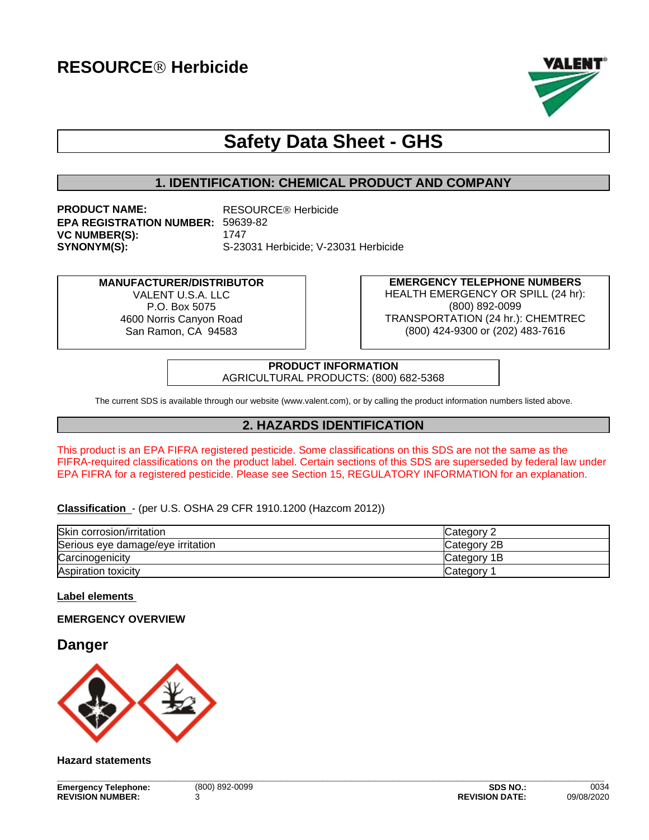

# **Safety Data Sheet - GHS**

### **1. IDENTIFICATION: CHEMICAL PRODUCT AND COMPANY**

**PRODUCT NAME:** RESOURCE<sup>®</sup> Herbicide **EPA REGISTRATION NUMBER:** 59639-82 **VC NUMBER(S):** 1747 **SYNONYM(S):** S-23031 Herbicide; V-23031 Herbicide

# **MANUFACTURER/DISTRIBUTOR**

VALENT U.S.A. LLC. P.O. Box 5075 4600 Norris Canyon Road San Ramon, CA 94583

**EMERGENCY TELEPHONE NUMBERS** HEALTH EMERGENCY OR SPILL (24 hr): (800) 892-0099 TRANSPORTATION (24 hr.): CHEMTREC (800) 424-9300 or (202) 483-7616

#### **PRODUCT INFORMATION** AGRICULTURAL PRODUCTS: (800) 682-5368

The current SDS is available through our website (www.valent.com), or by calling the product information numbers listed above.

# **2. HAZARDS IDENTIFICATION**

This product is an EPA FIFRA registered pesticide. Some classifications on this SDS are not the same as the FIFRA-required classifications on the product label. Certain sections of this SDS are superseded by federal law under EPA FIFRA for a registered pesticide. Please see Section 15, REGULATORY INFORMATION for an explanation.

### **Classification** - (per U.S. OSHA 29 CFR 1910.1200 (Hazcom 2012))

| Skin corrosion/irritation         | Category 1  |
|-----------------------------------|-------------|
| Serious eye damage/eye irritation | Category 2B |
| Carcinogenicity                   | Category 1B |
| Aspiration toxicity               | Category    |

### **Label elements**

### **EMERGENCY OVERVIEW**

# **Danger**



### **Hazard statements**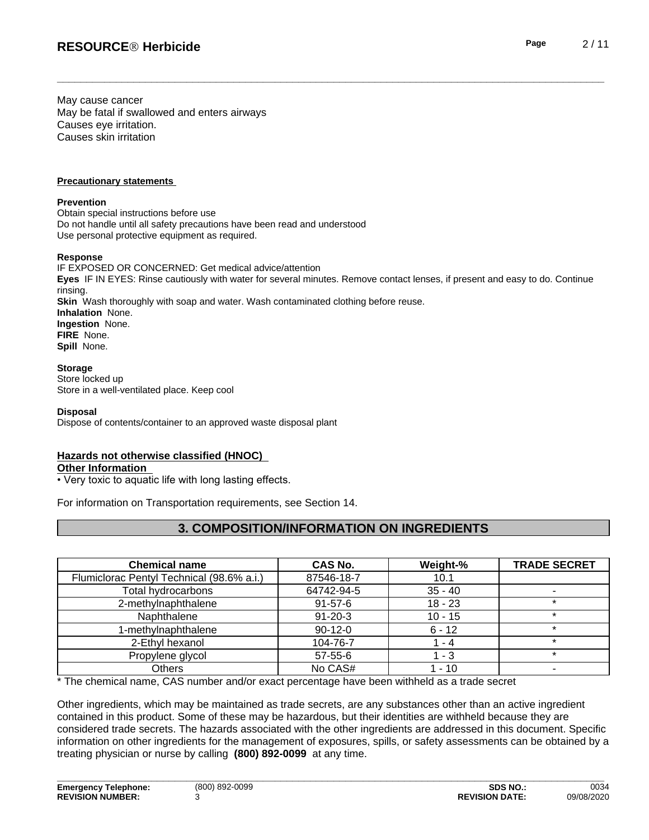May cause cancer May be fatal if swallowed and enters airways Causes eye irritation. Causes skin irritation

### **Precautionary statements**

### **Prevention**

Obtain special instructions before use Do not handle until all safety precautions have been read and understood Use personal protective equipment as required.

### **Response**

IF EXPOSED OR CONCERNED: Get medical advice/attention **Eyes** IF IN EYES: Rinse cautiously with water for several minutes. Remove contact lenses, if present and easy to do. Continue rinsing. **Skin** Wash thoroughly with soap and water. Wash contaminated clothing before reuse. **Inhalation** None. **Ingestion** None. **FIRE** None. **Spill** None.

### **Storage**

Store locked up Store in a well-ventilated place. Keep cool

### **Disposal**

Dispose of contents/container to an approved waste disposal plant

### **Hazards not otherwise classified (HNOC)**

### **Other Information**

• Very toxic to aquatic life with long lasting effects.

For information on Transportation requirements, see Section 14.

# **3. COMPOSITION/INFORMATION ON INGREDIENTS**

| <b>Chemical name</b>                      | <b>CAS No.</b> | Weight-%  | <b>TRADE SECRET</b> |
|-------------------------------------------|----------------|-----------|---------------------|
| Flumiclorac Pentyl Technical (98.6% a.i.) | 87546-18-7     | 10.1      |                     |
| Total hydrocarbons                        | 64742-94-5     | $35 - 40$ |                     |
| 2-methylnaphthalene                       | $91 - 57 - 6$  | $18 - 23$ |                     |
| Naphthalene                               | $91 - 20 - 3$  | $10 - 15$ |                     |
| 1-methylnaphthalene                       | $90-12-0$      | $6 - 12$  |                     |
| 2-Ethyl hexanol                           | 104-76-7       | - 4       |                     |
| Propylene glycol                          | 57-55-6        | - 3       |                     |
| Others                                    | No CAS#        | $-10$     |                     |

\* The chemical name, CAS number and/or exact percentage have been withheld as a trade secret

Other ingredients, which may be maintained as trade secrets, are any substances other than an active ingredient contained in this product. Some of these may be hazardous, but their identities are withheld because they are considered trade secrets. The hazards associated with the otheringredients are addressed in this document. Specific information on other ingredients for the management of exposures, spills, or safety assessments can be obtained by a treating physician or nurse by calling **(800) 892-0099** at any time.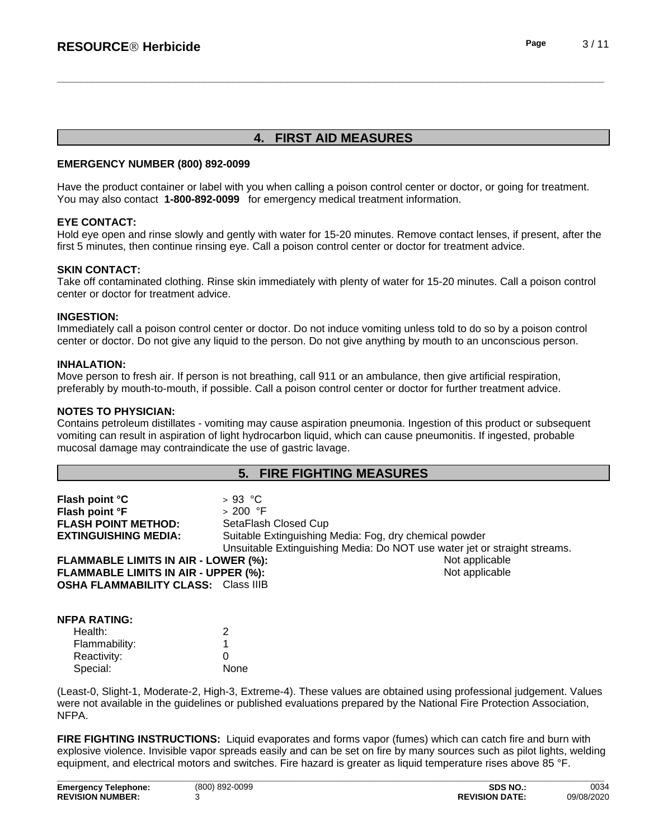# **4. FIRST AID MEASURES**

### **EMERGENCY NUMBER (800) 892-0099**

Have the product container or label with you when calling a poison control center or doctor, or going for treatment. You may also contact **1-800-892-0099** for emergency medical treatment information.

### **EYE CONTACT:**

Hold eye open and rinse slowly and gently with water for 15-20 minutes. Remove contact lenses, if present, after the first 5 minutes, then continue rinsing eye. Call a poison control center or doctor for treatment advice.

### **SKIN CONTACT:**

Take off contaminated clothing. Rinse skin immediately with plenty of water for 15-20 minutes. Call a poison control center or doctor for treatment advice.

### **INGESTION:**

Immediately call a poison control center or doctor. Do not induce vomiting unless told to do so by a poison control center or doctor. Do not give any liquid to the person. Do not give anything by mouth to an unconscious person.

### **INHALATION:**

Move person to fresh air. If person is not breathing, call 911 or an ambulance, then give artificial respiration, preferably by mouth-to-mouth, if possible. Call a poison control center or doctor for further treatment advice.

### **NOTES TO PHYSICIAN:**

Contains petroleum distillates - vomiting may cause aspiration pneumonia. Ingestion of this product or subsequent vomiting can result in aspiration of light hydrocarbon liquid, which can cause pneumonitis. If ingested, probable mucosal damage may contraindicate the use of gastric lavage.

### **5. FIRE FIGHTING MEASURES**

| Flash point °C                              | $>93$ °C                                               |                                                                           |
|---------------------------------------------|--------------------------------------------------------|---------------------------------------------------------------------------|
| Flash point °F                              | $>200$ °F                                              |                                                                           |
| <b>FLASH POINT METHOD:</b>                  | SetaFlash Closed Cup                                   |                                                                           |
| <b>EXTINGUISHING MEDIA:</b>                 | Suitable Extinguishing Media: Fog, dry chemical powder |                                                                           |
|                                             |                                                        | Unsuitable Extinguishing Media: Do NOT use water jet or straight streams. |
| <b>FLAMMABLE LIMITS IN AIR - LOWER (%):</b> |                                                        | Not applicable                                                            |
| FLAMMABLE LIMITS IN AIR - UPPER (%):        |                                                        | Not applicable                                                            |
| <b>OSHA FLAMMABILITY CLASS: Class IIIB</b>  |                                                        |                                                                           |

| NFPA RATING:  |      |  |
|---------------|------|--|
| Health:       | 2    |  |
| Flammability: |      |  |
| Reactivity:   |      |  |
| Special:      | None |  |

(Least-0, Slight-1, Moderate-2, High-3, Extreme-4). These values are obtained using professional judgement. Values were not available in the guidelines or published evaluations prepared by the National Fire Protection Association, NFPA.

**FIRE FIGHTING INSTRUCTIONS:** Liquid evaporates and forms vapor (fumes) which can catch fire and burn with explosive violence. Invisible vapor spreads easily and can be set on fire by many sources such as pilot lights, welding equipment, and electrical motors and switches. Fire hazard is greater as liquid temperature rises above 85 °F.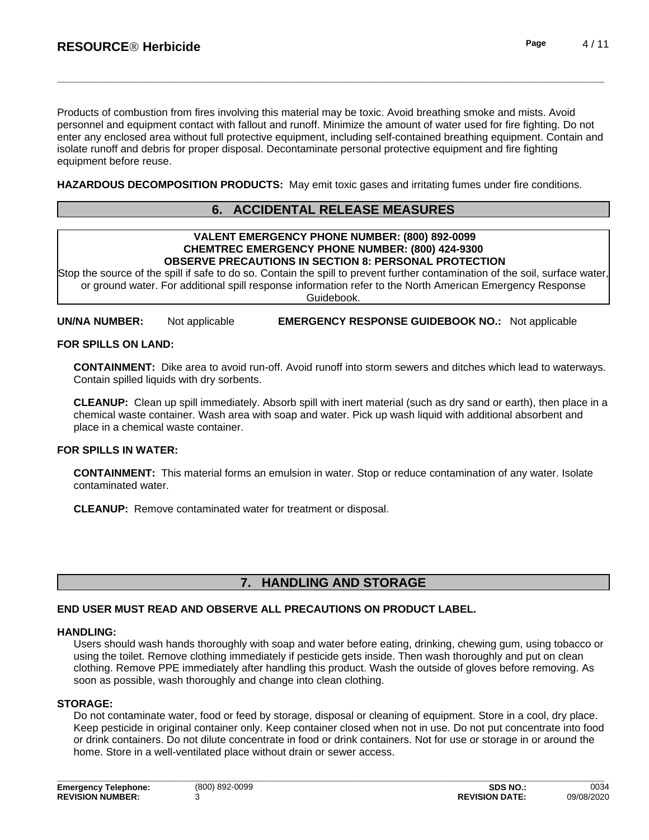Products of combustion from fires involving this material may be toxic. Avoid breathing smoke and mists. Avoid personnel and equipment contact with fallout and runoff. Minimize the amount of water used for fire fighting. Do not enter any enclosed area without full protective equipment, including self-contained breathing equipment. Contain and isolate runoff and debris for proper disposal. Decontaminate personal protective equipment and fire fighting equipment before reuse.

**HAZARDOUS DECOMPOSITION PRODUCTS:** May emit toxic gases and irritating fumes under fire conditions.

# **6. ACCIDENTAL RELEASE MEASURES**

#### **VALENT EMERGENCY PHONE NUMBER: (800) 892-0099 CHEMTREC EMERGENCY PHONE NUMBER: (800) 424-9300 OBSERVE PRECAUTIONS IN SECTION 8: PERSONAL PROTECTION**

Stop the source of the spill if safe to do so. Contain the spill to prevent further contamination of the soil, surface water, or ground water. For additional spill response information refer to the North American Emergency Response Guidebook.

**UN/NA NUMBER:** Not applicable **EMERGENCY RESPONSE GUIDEBOOK NO.:** Not applicable

### **FOR SPILLS ON LAND:**

**CONTAINMENT:** Dike area to avoid run-off. Avoid runoff into storm sewers and ditches which lead to waterways.<br>Contain spilled liquids with dry sorbents.

**CLEANUP:** Clean up spill immediately. Absorb spill with inert material (such as dry sand or earth), then place in a chemical waste container. Wash area with soap and water. Pick up wash liquid with additional absorbent and place in a chemical waste container.

### **FOR SPILLS IN WATER:**

**CONTAINMENT:** This material forms an emulsion in water. Stop or reduce contamination of any water. Isolate contaminated water.

**CLEANUP:** Remove contaminated water for treatment or disposal.

# **7. HANDLING AND STORAGE**

### **END USER MUST READ AND OBSERVE ALL PRECAUTIONS ON PRODUCT LABEL.**

### **HANDLING:**

Users should wash hands thoroughly with soap and water before eating, drinking, chewing gum, using tobacco or using the toilet. Remove clothing immediately if pesticide gets inside. Then wash thoroughly and put on clean clothing. Remove PPE immediately after handling this product. Wash the outside of gloves before removing. As soon as possible, wash thoroughly and change into clean clothing.

### **STORAGE:**

Do not contaminate water, food or feed by storage, disposal or cleaning of equipment. Store in a cool, dry place. Keep pesticide in original container only. Keep container closed when not in use. Do not put concentrate into food or drink containers. Do not dilute concentrate in food or drink containers. Not for use or storage in or around the home. Store in a well-ventilated place without drain or sewer access.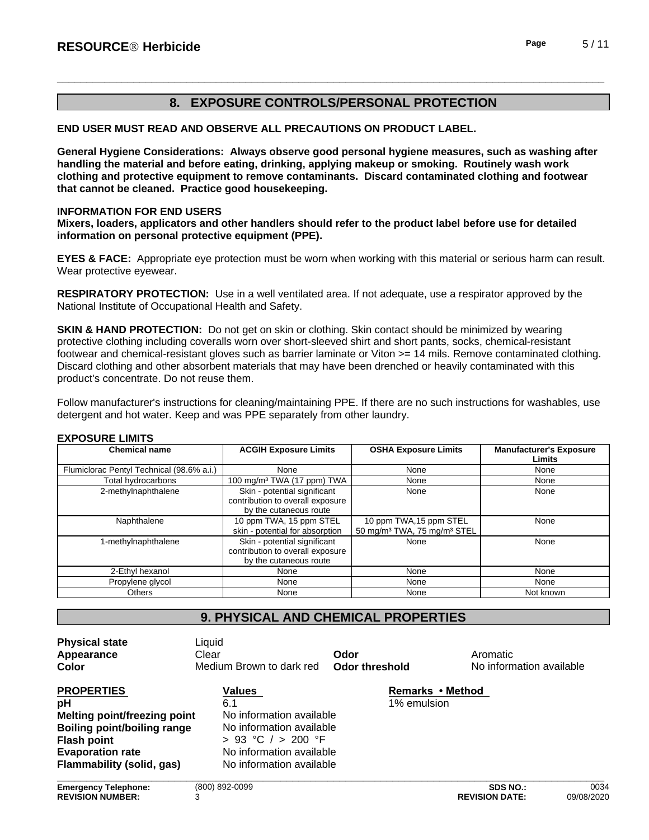# **8. EXPOSURE CONTROLS/PERSONAL PROTECTION**

**END USER MUST READ AND OBSERVE ALL PRECAUTIONS ON PRODUCT LABEL.**

**General Hygiene Considerations: Always observe good personal hygiene measures, such as washing after handling the material and before eating, drinking, applying makeup or smoking. Routinely wash work clothing and protective equipment to remove contaminants. Discard contaminated clothing and footwear that cannot be cleaned. Practice good housekeeping.**

### **INFORMATION FOR END USERS**

**Mixers, loaders, applicators and other handlers should refer to the product label before use for detailed information on personal protective equipment (PPE).**

**EYES & FACE:** Appropriate eye protection must be worn when working with this material or serious harm can result. Wear protective eyewear.

**RESPIRATORY PROTECTION:** Use in a well ventilated area. If not adequate, use a respirator approved by the National Institute of Occupational Health and Safety.

**SKIN & HAND PROTECTION:** Do not get on skin or clothing. Skin contact should be minimized by wearing protective clothing including coveralls worn over short-sleeved shirt and short pants, socks, chemical-resistant footwear and chemical-resistant gloves such as barrier laminate or Viton >= 14 mils. Remove contaminated clothing. Discard clothing and other absorbent materials that may have been drenched or heavily contaminated with this product's concentrate. Do not reuse them.

Follow manufacturer's instructions for cleaning/maintaining PPE. If there are no such instructions for washables, use detergent and hot water. Keep and was PPE separately from other laundry.

### **EXPOSURE LIMITS**

| <b>Chemical name</b>                      | <b>ACGIH Exposure Limits</b>                                                               | <b>OSHA Exposure Limits</b>                                                    | <b>Manufacturer's Exposure</b><br>Limits |
|-------------------------------------------|--------------------------------------------------------------------------------------------|--------------------------------------------------------------------------------|------------------------------------------|
| Flumiclorac Pentyl Technical (98.6% a.i.) | None                                                                                       | None                                                                           | None                                     |
| Total hydrocarbons                        | 100 mg/m <sup>3</sup> TWA (17 ppm) TWA                                                     | None                                                                           | None                                     |
| 2-methylnaphthalene                       | Skin - potential significant<br>contribution to overall exposure<br>by the cutaneous route | None                                                                           | None                                     |
| Naphthalene                               | 10 ppm TWA, 15 ppm STEL<br>skin - potential for absorption                                 | 10 ppm TWA, 15 ppm STEL<br>50 mg/m <sup>3</sup> TWA, 75 mg/m <sup>3</sup> STEL | None                                     |
| 1-methylnaphthalene                       | Skin - potential significant<br>contribution to overall exposure<br>by the cutaneous route | None                                                                           | None                                     |
| 2-Ethyl hexanol                           | None                                                                                       | None                                                                           | None                                     |
| Propylene glycol                          | None                                                                                       | None                                                                           | None                                     |
| Others                                    | None                                                                                       | None                                                                           | Not known                                |

# **9. PHYSICAL AND CHEMICAL PROPERTIES**

| <b>Physical state</b><br>Appearance<br><b>Color</b> | Liquid<br>Clear<br>Medium Brown to dark red | Odor<br>Odor threshold | Aromatic<br>No information available |      |
|-----------------------------------------------------|---------------------------------------------|------------------------|--------------------------------------|------|
| <b>PROPERTIES</b>                                   | Values                                      | Remarks • Method       |                                      |      |
| рH                                                  | 6.1                                         | 1% emulsion            |                                      |      |
| <b>Melting point/freezing point</b>                 | No information available                    |                        |                                      |      |
| Boiling point/boiling range                         | No information available                    |                        |                                      |      |
| <b>Flash point</b>                                  | $> 93$ °C $/ > 200$ °F                      |                        |                                      |      |
| <b>Evaporation rate</b>                             | No information available                    |                        |                                      |      |
| Flammability (solid, gas)                           | No information available                    |                        |                                      |      |
| <b>Emergency Telephone:</b>                         | (800) 892-0099                              |                        | <b>SDS NO.:</b>                      | 0034 |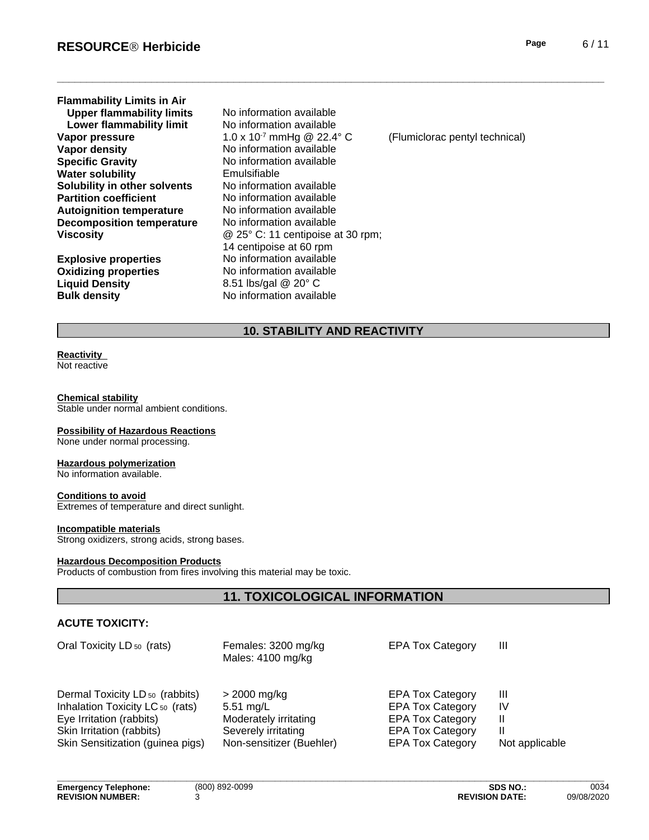| <b>Flammability Limits in Air</b> |                                          |                                |
|-----------------------------------|------------------------------------------|--------------------------------|
| <b>Upper flammability limits</b>  | No information available                 |                                |
| Lower flammability limit          | No information available                 |                                |
| Vapor pressure                    | 1.0 x 10 <sup>-7</sup> mmHg @ 22.4° C    | (Flumiclorac pentyl technical) |
| Vapor density                     | No information available                 |                                |
| <b>Specific Gravity</b>           | No information available                 |                                |
| <b>Water solubility</b>           | Emulsifiable                             |                                |
| Solubility in other solvents      | No information available                 |                                |
| <b>Partition coefficient</b>      | No information available                 |                                |
| <b>Autoignition temperature</b>   | No information available                 |                                |
| <b>Decomposition temperature</b>  | No information available                 |                                |
| Viscosity                         | $\omega$ 25° C: 11 centipoise at 30 rpm; |                                |
|                                   | 14 centipoise at 60 rpm                  |                                |
| <b>Explosive properties</b>       | No information available                 |                                |
| <b>Oxidizing properties</b>       | No information available                 |                                |
| <b>Liquid Density</b>             | 8.51 lbs/gal @ 20° C                     |                                |
| <b>Bulk density</b>               | No information available                 |                                |

# **10. STABILITY AND REACTIVITY**

# **Reactivity**

Not reactive

#### **Chemical stability**

Stable under normal ambient conditions.

### **Possibility of Hazardous Reactions**

None under normal processing.

### **Hazardous polymerization**

No information available.

### **Conditions to avoid**

Extremes of temperature and direct sunlight.

### **Incompatible materials**

Strong oxidizers, strong acids, strong bases.

#### **Hazardous Decomposition Products**

Products of combustion from fires involving this material may be toxic.

# **11. TOXICOLOGICAL INFORMATION**

### **ACUTE TOXICITY:**

| Oral Toxicity LD <sub>50</sub> (rats)                                                                                                                                                  | Females: 3200 mg/kg<br>Males: 4100 mg/kg                                                                        | <b>EPA Tox Category</b>                                                                                                             | Ш                         |
|----------------------------------------------------------------------------------------------------------------------------------------------------------------------------------------|-----------------------------------------------------------------------------------------------------------------|-------------------------------------------------------------------------------------------------------------------------------------|---------------------------|
| Dermal Toxicity LD <sub>50</sub> (rabbits)<br>Inhalation Toxicity LC <sub>50</sub> (rats)<br>Eye Irritation (rabbits)<br>Skin Irritation (rabbits)<br>Skin Sensitization (guinea pigs) | > 2000 mg/kg<br>$5.51 \text{ mg/L}$<br>Moderately irritating<br>Severely irritating<br>Non-sensitizer (Buehler) | <b>EPA Tox Category</b><br><b>EPA Tox Category</b><br><b>EPA Tox Category</b><br><b>EPA Tox Category</b><br><b>EPA Tox Category</b> | Ш<br>IV<br>Not applicable |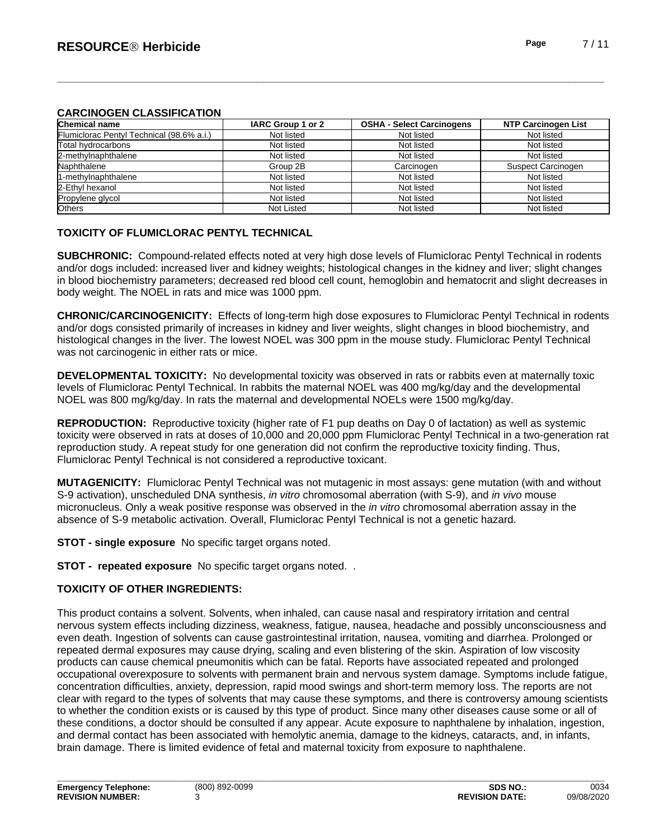### **CARCINOGEN CLASSIFICATION**

| Chemical name                             | IARC Group 1 or 2 | <b>OSHA - Select Carcinogens</b> | <b>NTP Carcinogen List</b> |
|-------------------------------------------|-------------------|----------------------------------|----------------------------|
| Flumiclorac Pentyl Technical (98.6% a.i.) | Not listed        | Not listed                       | Not listed                 |
| Total hydrocarbons                        | Not listed        | Not listed                       | Not listed                 |
| 2-methylnaphthalene                       | Not listed        | Not listed                       | Not listed                 |
| Naphthalene                               | Group 2B          | Carcinogen                       | Suspect Carcinogen         |
| 11-methylnaphthalene                      | Not listed        | Not listed                       | Not listed                 |
| 2-Ethyl hexanol                           | Not listed        | Not listed                       | Not listed                 |
| Propylene glycol                          | Not listed        | Not listed                       | Not listed                 |
| <b>Others</b>                             | <b>Not Listed</b> | Not listed                       | Not listed                 |

### **TOXICITY OF FLUMICLORAC PENTYL TECHNICAL**

**SUBCHRONIC:** Compound-related effects noted at very high dose levels of Flumiclorac Pentyl Technical in rodents and/or dogs included: increased liver and kidney weights; histological changes in the kidney and liver; slight changes in blood biochemistry parameters; decreased red blood cell count, hemoglobin and hematocrit and slight decreases in body weight. The NOEL in rats and mice was 1000 ppm.

**CHRONIC/CARCINOGENICITY:** Effects of long-term high dose exposures to Flumiclorac Pentyl Technical in rodents and/or dogs consisted primarily of increases in kidney and liver weights, slight changes in blood biochemistry, and histological changes in the liver. The lowest NOEL was 300 ppm in the mouse study. Flumiclorac Pentyl Technical was not carcinogenic in either rats or mice.

**DEVELOPMENTAL TOXICITY:** No developmental toxicity was observed in rats or rabbits even at maternally toxic levels of Flumiclorac Pentyl Technical. In rabbits the maternal NOEL was 400 mg/kg/day and the developmental NOEL was 800 mg/kg/day. In rats the maternal and developmental NOELs were 1500 mg/kg/day.

**REPRODUCTION:** Reproductive toxicity (higher rate of F1 pup deaths on Day 0 of lactation) as well as systemic toxicity were observed in rats at doses of 10,000 and 20,000 ppm Flumiclorac Pentyl Technical in a two-generation rat reproduction study. A repeat study for one generation did not confirm the reproductive toxicity finding. Thus, Flumiclorac Pentyl Technical is not considered a reproductive toxicant.

**MUTAGENICITY:** Flumiclorac Pentyl Technical was not mutagenic in most assays: gene mutation (with and without S-9 activation), unscheduled DNA synthesis, *in vitro* chromosomal aberration (with S-9), and *in vivo* mouse micronucleus. Only a weak positive response was observed in the *in vitro* chromosomal aberration assay in the absence of S-9 metabolic activation. Overall, Flumiclorac Pentyl Technical is not a genetic hazard.

**STOT - single exposure** No specific target organs noted.

**STOT - repeated exposure** No specific target organs noted. .

### **TOXICITY OF OTHER INGREDIENTS:**

This product contains a solvent. Solvents, when inhaled, can cause nasal and respiratory irritation and central nervous system effects including dizziness, weakness, fatigue, nausea, headache and possibly unconsciousness and even death. Ingestion of solvents can cause gastrointestinal irritation, nausea, vomiting and diarrhea. Prolonged or repeated dermal exposures may cause drying, scaling and even blistering of the skin. Aspiration of low viscosity products can cause chemical pneumonitis which can be fatal. Reports have associated repeated and prolonged occupational overexposure to solvents with permanent brain and nervous system damage. Symptoms include fatigue, concentration difficulties, anxiety, depression, rapid mood swings and short-term memory loss. The reports are not clear with regard to the types of solvents that may cause these symptoms, and there iscontroversy amoung scientists to whether the condition exists or is caused by this type of product. Since many other diseases cause some or all of these conditions, a doctor should be consulted if any appear. Acute exposure to naphthalene by inhalation, ingestion, and dermal contact has been associated with hemolytic anemia, damage to the kidneys, cataracts, and, in infants, brain damage. There islimited evidence of fetal and maternal toxicity from exposure to naphthalene.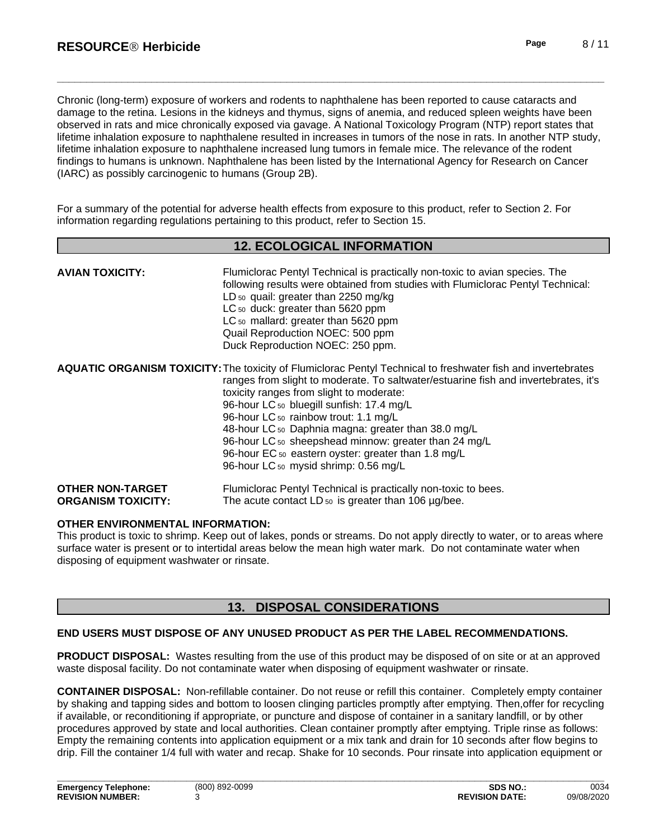Chronic (long-term) exposure of workers and rodents to naphthalene has been reported to cause cataracts and damage to the retina. Lesions in the kidneys and thymus, signs of anemia, and reduced spleen weights have been observed in rats and mice chronically exposed via gavage. A National Toxicology Program (NTP) report states that lifetime inhalation exposure to naphthalene resulted in increases in tumors of the nose in rats. In another NTP study, lifetime inhalation exposure to naphthalene increased lung tumors in female mice. The relevance of the rodent findings to humans is unknown. Naphthalene has been listed by the International Agency for Research on Cancer (IARC) as possibly carcinogenic to humans (Group 2B).

For a summary of the potential for adverse health effects from exposure to this product, refer to Section 2. For information regarding regulations pertaining to this product, refer to Section 15.

### **12. ECOLOGICAL INFORMATION**

| <b>AVIAN TOXICITY:</b>                               | Flumiclorac Pentyl Technical is practically non-toxic to avian species. The<br>following results were obtained from studies with Flumiclorac Pentyl Technical:<br>LD <sub>50</sub> quail: greater than 2250 mg/kg<br>LC <sub>50</sub> duck: greater than 5620 ppm<br>LC <sub>50</sub> mallard: greater than 5620 ppm<br>Quail Reproduction NOEC: 500 ppm<br>Duck Reproduction NOEC: 250 ppm.                                                                                                                                                                                                  |
|------------------------------------------------------|-----------------------------------------------------------------------------------------------------------------------------------------------------------------------------------------------------------------------------------------------------------------------------------------------------------------------------------------------------------------------------------------------------------------------------------------------------------------------------------------------------------------------------------------------------------------------------------------------|
|                                                      | <b>AQUATIC ORGANISM TOXICITY:</b> The toxicity of Flumiclorac Pentyl Technical to freshwater fish and invertebrates<br>ranges from slight to moderate. To saltwater/estuarine fish and invertebrates, it's<br>toxicity ranges from slight to moderate:<br>96-hour LC 50 bluegill sunfish: 17.4 mg/L<br>96-hour LC <sub>50</sub> rainbow trout: 1.1 mg/L<br>48-hour LC 50 Daphnia magna: greater than 38.0 mg/L<br>96-hour LC <sub>50</sub> sheepshead minnow: greater than 24 mg/L<br>96-hour EC <sub>50</sub> eastern oyster: greater than 1.8 mg/L<br>96-hour LC 50 mysid shrimp: 0.56 mg/L |
| <b>OTHER NON-TARGET</b><br><b>ORGANISM TOXICITY:</b> | Flumiclorac Pentyl Technical is practically non-toxic to bees.<br>The acute contact LD $_{50}$ is greater than 106 $\mu$ g/bee.                                                                                                                                                                                                                                                                                                                                                                                                                                                               |

### **OTHER ENVIRONMENTAL INFORMATION:**

This product is toxic to shrimp. Keep out of lakes, ponds or streams. Do not apply directly to water, orto areas where surface water is present or to intertidal areas below the mean high water mark. Do not contaminate water when disposing of equipment washwater or rinsate.

# **13. DISPOSAL CONSIDERATIONS**

### **END USERS MUST DISPOSE OF ANY UNUSED PRODUCT AS PER THE LABEL RECOMMENDATIONS.**

**PRODUCT DISPOSAL:** Wastes resulting from the use of this product may be disposed of on site or at an approved waste disposal facility. Do not contaminate water when disposing of equipment washwater or rinsate.

**CONTAINER DISPOSAL:** Non-refillable container. Do not reuse or refill this container. Completely empty container by shaking and tapping sides and bottom to loosen clinging particles promptly after emptying. Then,offer for recycling if available, or reconditioning if appropriate, or puncture and dispose of container in a sanitary landfill, or by other procedures approved by state and local authorities. Clean container promptly after emptying. Triple rinse as follows: Empty the remaining contents into application equipment or a mix tank and drain for 10 seconds after flow begins to drip. Fill the container 1/4 full with water and recap. Shake for 10 seconds. Pour rinsate into application equipment or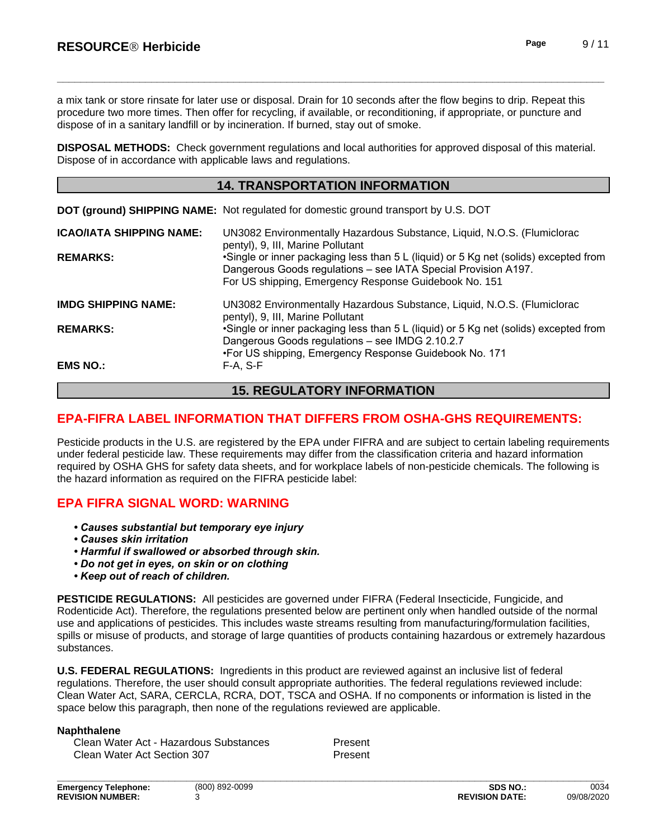a mix tank or store rinsate for later use or disposal. Drain for 10 seconds after the flow begins to drip. Repeat this procedure two more times. Then offer for recycling, if available, or reconditioning, if appropriate, or puncture and dispose of in a sanitary landfill or by incineration. If burned, stay out of smoke.

**DISPOSAL METHODS:** Check government regulations and local authorities for approved disposal of this material. Dispose of in accordance with applicable laws and regulations.

### **14. TRANSPORTATION INFORMATION**

|  | DOT (ground) SHIPPING NAME: Not regulated for domestic ground transport by U.S. DOT |  |
|--|-------------------------------------------------------------------------------------|--|
|--|-------------------------------------------------------------------------------------|--|

| <b>ICAO/IATA SHIPPING NAME:</b> | UN3082 Environmentally Hazardous Substance, Liquid, N.O.S. (Flumiclorac<br>pentyl), 9, III, Marine Pollutant                                                                                                    |  |
|---------------------------------|-----------------------------------------------------------------------------------------------------------------------------------------------------------------------------------------------------------------|--|
| <b>REMARKS:</b>                 | •Single or inner packaging less than 5 L (liquid) or 5 Kg net (solids) excepted from<br>Dangerous Goods regulations - see IATA Special Provision A197.<br>For US shipping, Emergency Response Guidebook No. 151 |  |
| <b>IMDG SHIPPING NAME:</b>      | UN3082 Environmentally Hazardous Substance, Liquid, N.O.S. (Flumiclorac<br>pentyl), 9, III, Marine Pollutant                                                                                                    |  |
| <b>REMARKS:</b>                 | •Single or inner packaging less than 5 L (liquid) or 5 Kg net (solids) excepted from<br>Dangerous Goods regulations - see IMDG 2.10.2.7<br>•For US shipping, Emergency Response Guidebook No. 171               |  |
| <b>EMS NO.:</b>                 | $F-A, S-F$                                                                                                                                                                                                      |  |

# **15. REGULATORY INFORMATION**

# **EPA-FIFRA LABEL INFORMATION THAT DIFFERS FROM OSHA-GHS REQUIREMENTS:**

Pesticide products in the U.S. are registered by the EPA under FIFRA and are subject to certain labeling requirements under federal pesticide law. These requirements may differ from the classification criteria and hazard information required by OSHA GHS for safety data sheets, and for workplace labels of non-pesticide chemicals. The following is the hazard information as required on the FIFRA pesticide label:

# **EPA FIFRA SIGNAL WORD: WARNING**

- *•Causessubstantialbuttemporaryeyeinjury*
- *•Causesskinirritation*
- **Harmful if swallowed or absorbed through skin.**
- *•Donotgetineyes,onskinoronclothing*
- *•Keepoutofreachofchildren.*

**PESTICIDE REGULATIONS:** All pesticides are governed under FIFRA (Federal Insecticide, Fungicide, and Rodenticide Act). Therefore, the regulations presented below are pertinent only when handled outside of the normal use and applications of pesticides. This includes waste streams resulting from manufacturing/formulation facilities, spills or misuse of products, and storage of large quantities of products containing hazardous or extremely hazardous substances.

**U.S. FEDERAL REGULATIONS:** Ingredients in this product are reviewed against an inclusive list of federal regulations. Therefore, the user should consult appropriate authorities. The federal regulations reviewed include: Clean Water Act, SARA, CERCLA, RCRA, DOT, TSCA and OSHA. If no components or information islisted in the space below this paragraph, then none of the regulations reviewed are applicable.

### **Naphthalene**

Clean Water Act - Hazardous Substances Present Clean Water Act Section 307 Present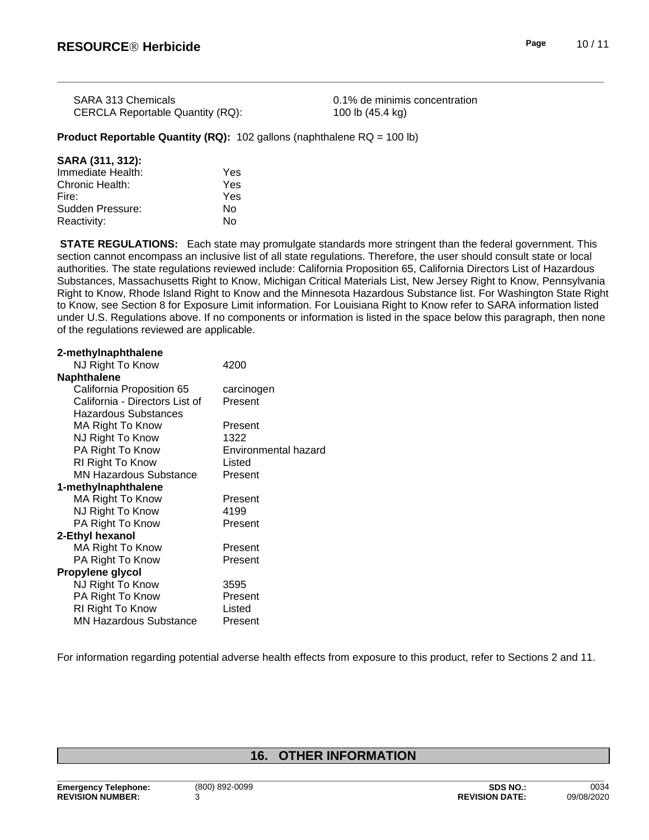| <b>SARA 313 Chemicals</b>        |  |
|----------------------------------|--|
| CERCLA Reportable Quantity (RQ): |  |

0.1% de minimis concentration 100 lb (45.4 kg)

### **Product Reportable Quantity (RQ):** 102 gallons (naphthalene RQ = 100 lb)

| SARA (311, 312):  |     |  |
|-------------------|-----|--|
| Immediate Health: | Yes |  |
| Chronic Health:   | Yes |  |
| Fire:             | Yes |  |
| Sudden Pressure:  | Nο  |  |
| Reactivity:       | N٥  |  |

**STATE REGULATIONS:** Each state may promulgate standards more stringent than the federal government. This section cannot encompass an inclusive list of all state regulations. Therefore, the user should consult state or local authorities. The state regulations reviewed include: California Proposition 65, California Directors List of Hazardous Substances, Massachusetts Right to Know, Michigan Critical Materials List, New Jersey Right to Know, Pennsylvania Right to Know, Rhode Island Right to Know and the Minnesota Hazardous Substance list. For Washington State Right to Know, see Section 8 for Exposure Limit information. For Louisiana Right to Know refer to SARA information listed under U.S. Regulations above. If no components or information is listed in the space below this paragraph, then none of the regulations reviewed are applicable.

| 2-methylnaphthalene            |                      |
|--------------------------------|----------------------|
| NJ Right To Know               | 4200                 |
| <b>Naphthalene</b>             |                      |
| California Proposition 65      | carcinogen           |
| California - Directors List of | Present              |
| Hazardous Substances           |                      |
| MA Right To Know               | Present              |
| NJ Right To Know               | 1322                 |
| PA Right To Know               | Environmental hazard |
| RI Right To Know               | Listed               |
| <b>MN Hazardous Substance</b>  | Present              |
| 1-methylnaphthalene            |                      |
| MA Right To Know               | Present              |
| NJ Right To Know               | 4199                 |
| PA Right To Know               | Present              |
| 2-Ethyl hexanol                |                      |
| MA Right To Know               | Present              |
| PA Right To Know               | Present              |
| Propylene glycol               |                      |
| NJ Right To Know               | 3595                 |
| PA Right To Know               | Present              |
| RI Right To Know               | Listed               |
| MN Hazardous Substance         | Present              |

For information regarding potential adverse health effects from exposure to this product, refer to Sections 2 and 11.

# **16. OTHER INFORMATION**